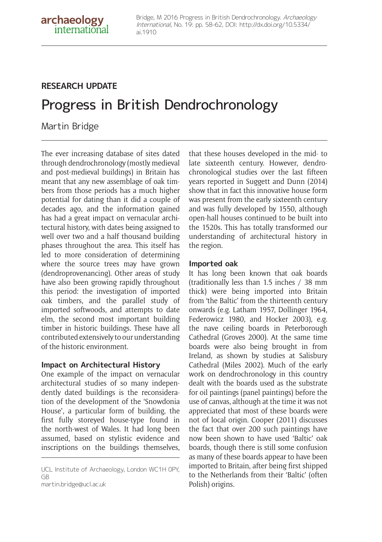## **RESEARCH UPDATE**

# Progress in British Dendrochronology

Martin Bridge

The ever increasing database of sites dated through dendrochronology (mostly medieval and post-medieval buildings) in Britain has meant that any new assemblage of oak timbers from those periods has a much higher potential for dating than it did a couple of decades ago, and the information gained has had a great impact on vernacular architectural history, with dates being assigned to well over two and a half thousand building phases throughout the area. This itself has led to more consideration of determining where the source trees may have grown (dendroprovenancing). Other areas of study have also been growing rapidly throughout this period: the investigation of imported oak timbers, and the parallel study of imported softwoods, and attempts to date elm, the second most important building timber in historic buildings. These have all contributed extensively to our understanding of the historic environment.

#### **Impact on Architectural History**

One example of the impact on vernacular architectural studies of so many independently dated buildings is the reconsideration of the development of the 'Snowdonia House', a particular form of building, the first fully storeyed house-type found in the north-west of Wales. It had long been assumed, based on stylistic evidence and inscriptions on the buildings themselves,

UCL Institute of Archaeology, London WC1H 0PY, GB

martin.bridge@ucl.ac.uk

that these houses developed in the mid- to late sixteenth century. However, dendrochronological studies over the last fifteen years reported in Suggett and Dunn (2014) show that in fact this innovative house form was present from the early sixteenth century and was fully developed by 1550, although open-hall houses continued to be built into the 1520s. This has totally transformed our understanding of architectural history in the region.

### **Imported oak**

It has long been known that oak boards (traditionally less than 1.5 inches / 38 mm thick) were being imported into Britain from 'the Baltic' from the thirteenth century onwards (e.g. Latham 1957, Dollinger 1964, Federowicz 1980, and Hocker 2003), e.g. the nave ceiling boards in Peterborough Cathedral (Groves 2000). At the same time boards were also being brought in from Ireland, as shown by studies at Salisbury Cathedral (Miles 2002). Much of the early work on dendrochronology in this country dealt with the boards used as the substrate for oil paintings (panel paintings) before the use of canvas, although at the time it was not appreciated that most of these boards were not of local origin. Cooper (2011) discusses the fact that over 200 such paintings have now been shown to have used 'Baltic' oak boards, though there is still some confusion as many of these boards appear to have been imported to Britain, after being first shipped to the Netherlands from their 'Baltic' (often Polish) origins.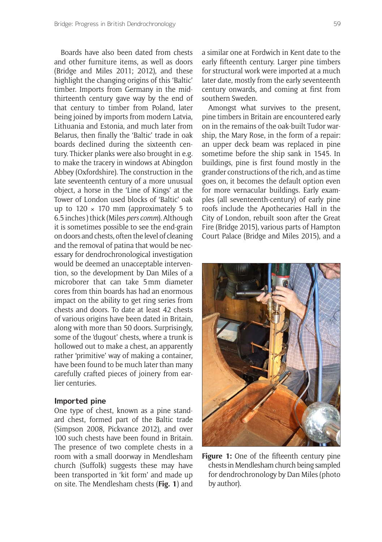Boards have also been dated from chests and other furniture items, as well as doors (Bridge and Miles 2011; 2012), and these highlight the changing origins of this 'Baltic' timber. Imports from Germany in the midthirteenth century gave way by the end of that century to timber from Poland, later being joined by imports from modern Latvia, Lithuania and Estonia, and much later from Belarus, then finally the 'Baltic' trade in oak boards declined during the sixteenth century. Thicker planks were also brought in e.g. to make the tracery in windows at Abingdon Abbey (Oxfordshire). The construction in the late seventeenth century of a more unusual object, a horse in the 'Line of Kings' at the Tower of London used blocks of 'Baltic' oak up to  $120 \times 170$  mm (approximately 5 to 6.5 inches ) thick (Miles *pers comm*). Although it is sometimes possible to see the end-grain on doors and chests, often the level of cleaning and the removal of patina that would be necessary for dendrochronological investigation would be deemed an unacceptable intervention, so the development by Dan Miles of a microborer that can take 5mm diameter cores from thin boards has had an enormous impact on the ability to get ring series from chests and doors. To date at least 42 chests of various origins have been dated in Britain, along with more than 50 doors. Surprisingly, some of the 'dugout' chests, where a trunk is hollowed out to make a chest, an apparently rather 'primitive' way of making a container, have been found to be much later than many carefully crafted pieces of joinery from earlier centuries.

#### **Imported pine**

One type of chest, known as a pine standard chest, formed part of the Baltic trade (Simpson 2008, Pickvance 2012), and over 100 such chests have been found in Britain. The presence of two complete chests in a room with a small doorway in Mendlesham church (Suffolk) suggests these may have been transported in 'kit form' and made up on site. The Mendlesham chests (**Fig. 1**) and a similar one at Fordwich in Kent date to the early fifteenth century. Larger pine timbers for structural work were imported at a much later date, mostly from the early seventeenth century onwards, and coming at first from southern Sweden.

Amongst what survives to the present, pine timbers in Britain are encountered early on in the remains of the oak-built Tudor warship, the Mary Rose, in the form of a repair: an upper deck beam was replaced in pine sometime before the ship sank in 1545. In buildings, pine is first found mostly in the grander constructions of the rich, and as time goes on, it becomes the default option even for more vernacular buildings. Early examples (all seventeenth-century) of early pine roofs include the Apothecaries Hall in the City of London, rebuilt soon after the Great Fire (Bridge 2015), various parts of Hampton Court Palace (Bridge and Miles 2015), and a



**Figure 1:** One of the fifteenth century pine chests in Mendlesham church being sampled for dendrochronology by Dan Miles (photo by author).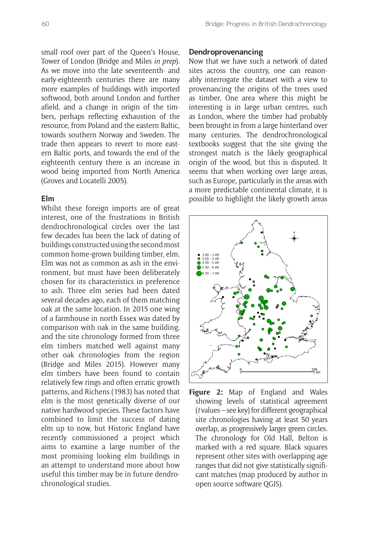small roof over part of the Queen's House, Tower of London (Bridge and Miles *in prep*). As we move into the late seventeenth- and early-eighteenth centuries there are many more examples of buildings with imported softwood, both around London and further afield, and a change in origin of the timbers, perhaps reflecting exhaustion of the resource, from Poland and the eastern Baltic, towards southern Norway and Sweden. The trade then appears to revert to more eastern Baltic ports, and towards the end of the eighteenth century there is an increase in wood being imported from North America (Groves and Locatelli 2005).

#### **Elm**

Whilst these foreign imports are of great interest, one of the frustrations in British dendrochronological circles over the last few decades has been the lack of dating of buildings constructed using the second most common home-grown building timber, elm. Elm was not as common as ash in the environment, but must have been deliberately chosen for its characteristics in preference to ash. Three elm series had been dated several decades ago, each of them matching oak at the same location. In 2015 one wing of a farmhouse in north Essex was dated by comparison with oak in the same building, and the site chronology formed from three elm timbers matched well against many other oak chronologies from the region (Bridge and Miles 2015). However many elm timbers have been found to contain relatively few rings and often erratic growth patterns, and Richens (1983) has noted that elm is the most genetically diverse of our native hardwood species. These factors have combined to limit the success of dating elm up to now, but Historic England have recently commissioned a project which aims to examine a large number of the most promising looking elm buildings in an attempt to understand more about how useful this timber may be in future dendrochronological studies.

#### **Dendroprovenancing**

Now that we have such a network of dated sites across the country, one can reasonably interrogate the dataset with a view to provenancing the origins of the trees used as timber. One area where this might be interesting is in large urban centres, such as London, where the timber had probably been brought in from a large hinterland over many centuries. The dendrochronological textbooks suggest that the site giving the strongest match is the likely geographical origin of the wood, but this is disputed. It seems that when working over large areas, such as Europe, particularly in the areas with a more predictable continental climate, it is possible to highlight the likely growth areas



**Figure 2:** Map of England and Wales showing levels of statistical agreement (*t* values – see key) for different geographical site chronologies having at least 50 years overlap, as progressively larger green circles. The chronology for Old Hall, Belton is marked with a red square. Black squares represent other sites with overlapping age ranges that did not give statistically significant matches (map produced by author in open source software QGIS).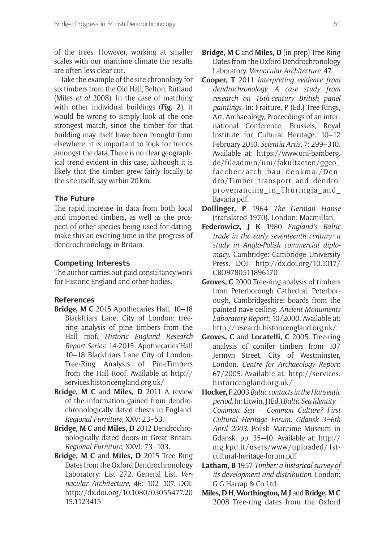of the trees. However, working at smaller scales with our maritime climate the results are often less clear cut.

Take the example of the site chronology for six timbers from the Old Hall, Belton, Rutland (Miles *et al* 2008). In the case of matching with other individual buildings (**Fig. 2**), it would be wrong to simply look at the one strongest match, since the timber for that building may itself have been brought from elsewhere, it is important to look for trends amongst the data. There is no clear geographical trend evident in this case, although it is likely that the timber grew fairly locally to the site itself, say within 20km.

#### **The Future**

The rapid increase in data from both local and imported timbers, as well as the prospect of other species being used for dating, make this an exciting time in the progress of dendrochronology in Britain.

#### **Competing Interests**

The author carries out paid consultancy work for Historic England and other bodies.

#### **References**

- **Bridge, M C** 2015 Apothecaries Hall, 10–18 Blackfriars Lane, City of London: treering analysis of pine timbers from the Hall roof. *Historic England Research Report Series*: 14-2015. Apothecaries'Hall 10–18 Blackfriars Lane City of London-Tree-Ring Analysis of PineTimbers from the Hall Roof. Available at http:// services.historicengland.org.uk/
- **Bridge, M C** and **Miles, D** 2011 A review of the information gained from dendrochronologically dated chests in England. *Regional Furniture*, XXV: 23–53.
- **Bridge, M C** and **Miles, D** 2012 Dendrochronologically dated doors in Great Britain. *Regional Furniture*, XXVI: 73–103.
- **Bridge, M C** and **Miles, D** 2015 Tree Ring Dates from the Oxford Dendrochronology Laboratory: List 272, General List. *Vernacular Architecture*, 46: 102–107. DOI: http://dx.doi.org/10.1080/03055477.20 15.1123415
- **Bridge, M C** and **Miles, D** (in prep) Tree Ring Dates from the Oxford Dendrochronology Laboratory. *Vernacular Architecture*, 47.
- **Cooper, T** 2011 *Interpreting evidence from dendrochronology. A case study from research on 16th-century British panel paintings.* In: Fraiture, P (Ed.) Tree-Rings, Art, Archaeology, Proceedings of an international Conference, Brussels, Royal Institute for Cultural Heritage, 10–12 February 2010. *Scientia Artis*, 7: 299–310. Available at: https://www.uni-bamberg. de/fileadmin/uni/fakultaeten/ggeo\_ faecher/arch\_bau\_denkmal/Dendro/Timber\_transport\_and\_dendroprovenancing\_in\_Thuringia\_and\_ Bavaria.pdf.
- **Dollinger, P** 1964 *The German Hanse* (translated 1970). London: Macmillan.
- **Federowicz, J K** 1980 *England's Baltic trade in the early seventeenth century: a study in Anglo-Polish commercial diplomacy*. Cambridge: Cambridge University Press. DOI: http://dx.doi.org/10.1017/ CBO9780511896170
- **Groves, C** 2000 Tree-ring analysis of timbers from Peterborough Cathedral, Peterborough, Cambridgeshire: boards from the painted nave ceiling. *Ancient Monuments Laboratory Report*: 10/2000. Available at: http://research.historicengland.org.uk/.
- **Groves, C** and **Locatelli, C** 2005. Tree-ring analysis of conifer timbers from 107 Jermyn Street, City of Westminster, London. *Centre for Archaeology Report*: 67/2005. Available at: http://services. historicengland.org.uk/
- **Hocker, F** 2003 *Baltic contacts in the Hanseatic period*. In: Litwin, J (Ed.) *Baltic Sea Identity – Common Sea – Common Culture? First Cultural Heritage Forum, Gdansk 3–6th April 2003*. Polish Maritime Museum in Gdansk, pp. 35–40. Available at: http:// mg.kpd.lt/users/www/uploaded/1stcultural-heritage-forum.pdf.
- **Latham, B** 1957 *Timber: a historical survey of its development and distribution*. London: G G Harrap & Co Ltd.
- **Miles, D H**, **Worthington, M J** and **Bridge, M C** 2008 Tree-ring dates from the Oxford